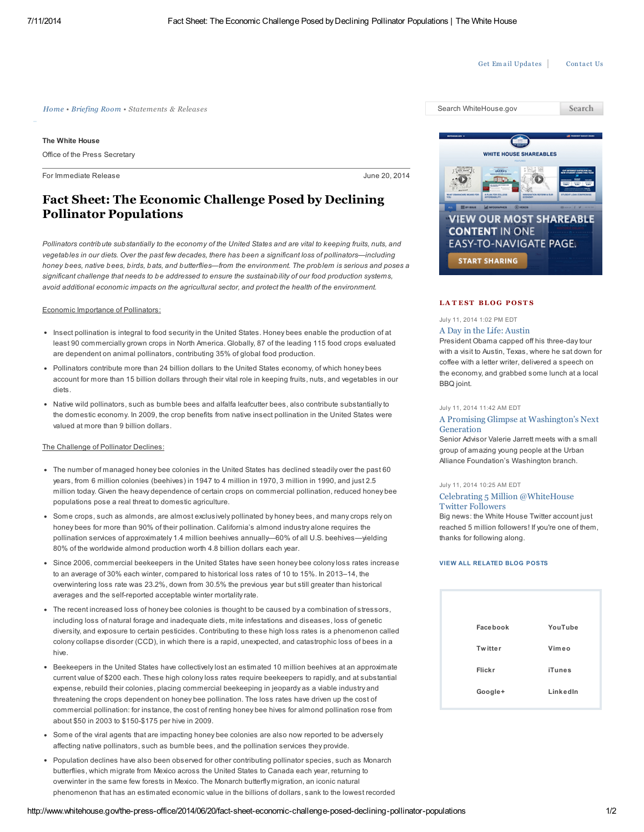Get Em ail [Upda](http://www.whitehouse.gov/get-email-updates)tes | [Conta](http://www.whitehouse.gov/contact)ct Us

Search

*[Home](http://www.whitehouse.gov/) • [Briefing](http://www.whitehouse.gov/briefing-room) Room • Statements & Releases* Search WhiteHouse.gov

The White House

Office of the Press Secretary

For Immediate Release June 20, 2014

# Fact Sheet: The Economic Challenge Posed by Declining Pollinator Populations

Pollinators contribute substantially to the economy of the United States and are vital to keeping fruits, nuts, and vegetables in our diets. Over the past few decades, there has been a significant loss of pollinators—including honey bees, native bees, birds, bats, and butterflies—from the environment. The problem is serious and poses a significant challenge that needs to be addressed to ensure the sustainability of our food production systems, avoid additional economic impacts on the agricultural sector, and protect the health of the environment.

#### Economic Importance of Pollinators:

- Insect pollination is integral to food security in the United States. Honey bees enable the production of at least 90 commercially grown crops in North America. Globally, 87 of the leading 115 food crops evaluated are dependent on animal pollinators, contributing 35% of global food production.
- Pollinators contribute more than 24 billion dollars to the United States economy, of which honey bees account for more than 15 billion dollars through their vital role in keeping fruits, nuts, and vegetables in our diets.
- Native wild pollinators, such as bumble bees and alfalfa leafcutter bees, also contribute substantially to the domestic economy. In 2009, the crop benefits from native insect pollination in the United States were valued at more than 9 billion dollars.

#### The Challenge of Pollinator Declines:

- The number of managed honey bee colonies in the United States has declined steadily over the past 60 years, from 6 million colonies (beehives) in 1947 to 4 million in 1970, 3 million in 1990, and just 2.5 million today. Given the heavy dependence of certain crops on commercial pollination, reduced honey bee populations pose a real threat to domestic agriculture.
- Some crops, such as almonds, are almost exclusively pollinated by honey bees, and many crops rely on honey bees for more than 90% of their pollination. California's almond industry alone requires the pollination services of approximately 1.4 million beehives annually—60% of all U.S. beehives—yielding 80% of the worldwide almond production worth 4.8 billion dollars each year.
- Since 2006, commercial beekeepers in the United States have seen honey bee colony loss rates increase to an average of 30% each winter, compared to historical loss rates of 10 to 15%. In 2013–14, the overwintering loss rate was 23.2%, down from 30.5% the previous year but still greater than historical averages and the self-reported acceptable winter mortality rate.
- The recent increased loss of honey bee colonies is thought to be caused by a combination of stressors, including loss of natural forage and inadequate diets, mite infestations and diseases, loss of genetic diversity, and exposure to certain pesticides. Contributing to these high loss rates is a phenomenon called colony collapse disorder (CCD), in which there is a rapid, unexpected, and catastrophic loss of bees in a hive.
- Beekeepers in the United States have collectively lost an estimated 10 million beehives at an approximate current value of \$200 each. These high colony loss rates require beekeepers to rapidly, and at substantial expense, rebuild their colonies, placing commercial beekeeping in jeopardy as a viable industry and threatening the crops dependent on honey bee pollination. The loss rates have driven up the cost of commercial pollination: for instance, the cost of renting honey bee hives for almond pollination rose from about \$50 in 2003 to \$150-\$175 per hive in 2009.
- Some of the viral agents that are impacting honey bee colonies are also now reported to be adversely affecting native pollinators, such as bumble bees, and the pollination services they provide.
- Population declines have also been observed for other contributing pollinator species, such as Monarch butterflies, which migrate from Mexico across the United States to Canada each year, returning to overwinter in the same few forests in Mexico. The Monarch butterfly migration, an iconic natural phenomenon that has an estimated economic value in the billions of dollars, sank to the lowest recorded



### LATEST BLOG POSTS

## July 11, 2014 1:02 PM EDT A Day in the Life: [Austin](http://www.whitehouse.gov/blog/2014/07/11/day-life-austin)

President Obama capped off his three-day tour with a visit to Austin, Texas, where he sat down for coffee with a letter writer, delivered a speech on the economy, and grabbed some lunch at a local BBQ joint.

#### July 11, 2014 11:42 AM EDT

#### A Promising Glimpse at [Washington's](http://www.whitehouse.gov/blog/2014/07/11/promising-glimpse-washington-s-next-generation) Next **Generation**

Senior Advisor Valerie Jarrett meets with a small group of amazing young people at the Urban Alliance Foundation's Washington branch.

#### July 11, 2014 10:25 AM EDT

#### Celebrating 5 Million [@WhiteHouse](http://www.whitehouse.gov/blog/2014/07/11/celebrating-5-million-whitehouse-twitter-followers) Twitter Followers

Big news: the White House Twitter account just reached 5 million followers! If you're one of them, thanks for following along.

#### VIEW ALL [RELATED](http://www.whitehouse.gov/blog/issues/all) BLOG POSTS

| Facebook       | YouTube       |
|----------------|---------------|
| <b>Twitter</b> | Vimeo         |
| Flickr         | <b>iTunes</b> |
| Google+        | LinkedIn      |